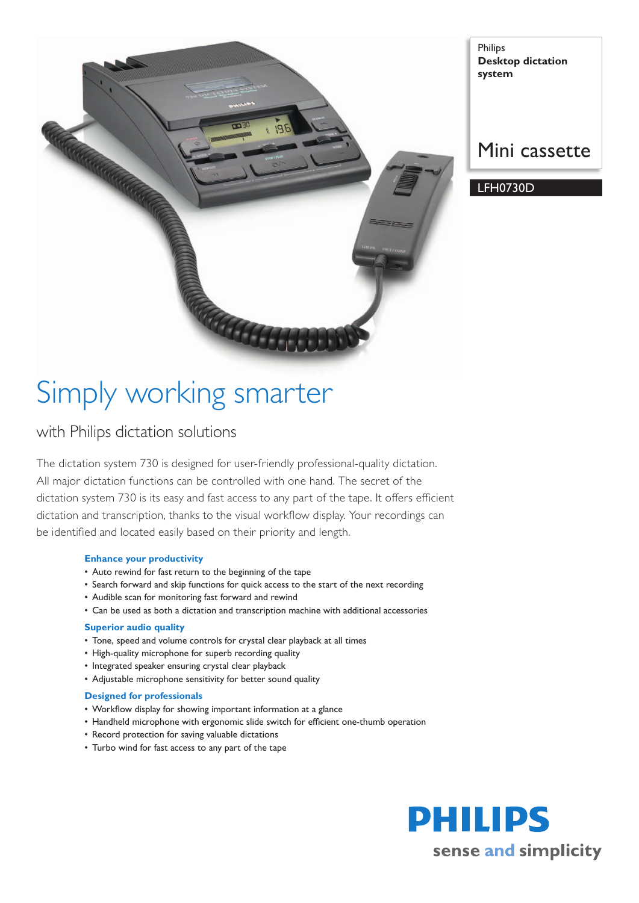

Philips **Desktop dictation system**

# Mini cassette

LFH0730D

# Simply working smarter

## with Philips dictation solutions

The dictation system 730 is designed for user-friendly professional-quality dictation. All major dictation functions can be controlled with one hand. The secret of the dictation system 730 is its easy and fast access to any part of the tape. It offers efficient dictation and transcription, thanks to the visual workflow display. Your recordings can be identified and located easily based on their priority and length.

### **Enhance your productivity**

- Auto rewind for fast return to the beginning of the tape
- Search forward and skip functions for quick access to the start of the next recording
- Audible scan for monitoring fast forward and rewind
- Can be used as both a dictation and transcription machine with additional accessories

### **Superior audio quality**

- Tone, speed and volume controls for crystal clear playback at all times
- High-quality microphone for superb recording quality
- Integrated speaker ensuring crystal clear playback
- Adjustable microphone sensitivity for better sound quality

### **Designed for professionals**

- • Workflow display for showing important information at a glance
- Handheld microphone with ergonomic slide switch for efficient one-thumb operation
- Record protection for saving valuable dictations
- Turbo wind for fast access to any part of the tape